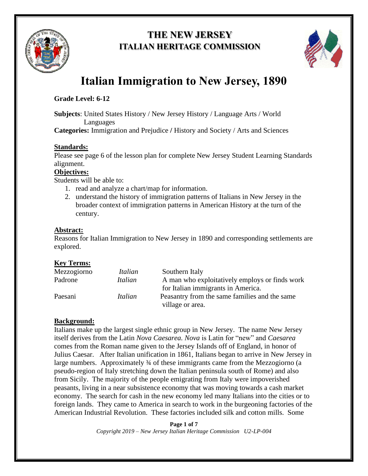

# **THE NEW JERSEY ITALIAN HERITAGE COMMISSION**



# **Italian Immigration to New Jersey, 1890**

# **Grade Level: 6-12**

**Subjects**: United States History / New Jersey History / Language Arts / World Languages

**Categories:** Immigration and Prejudice **/** History and Society / Arts and Sciences

# **Standards:**

Please see page 6 of the lesson plan for complete New Jersey Student Learning Standards alignment.

#### **Objectives:**

Students will be able to:

- 1. read and analyze a chart/map for information.
- 2. understand the history of immigration patterns of Italians in New Jersey in the broader context of immigration patterns in American History at the turn of the century.

#### **Abstract:**

Reasons for Italian Immigration to New Jersey in 1890 and corresponding settlements are explored.

## **Key Terms:**

| Mezzogiorno | Italian | Southern Italy                                 |
|-------------|---------|------------------------------------------------|
| Padrone     | Italian | A man who exploitatively employs or finds work |
|             |         | for Italian immigrants in America.             |
| Paesani     | Italian | Peasantry from the same families and the same  |
|             |         | village or area.                               |

## **Background:**

Italians make up the largest single ethnic group in New Jersey. The name New Jersey itself derives from the Latin *Nova Caesarea. Nova* is Latin for "new" and *Caesarea*  comes from the Roman name given to the Jersey Islands off of England, in honor of Julius Caesar. After Italian unification in 1861, Italians began to arrive in New Jersey in large numbers. Approximately 34 of these immigrants came from the Mezzogiorno (a pseudo-region of Italy stretching down the Italian peninsula south of Rome) and also from Sicily. The majority of the people emigrating from Italy were impoverished peasants, living in a near subsistence economy that was moving towards a cash market economy. The search for cash in the new economy led many Italians into the cities or to foreign lands. They came to America in search to work in the burgeoning factories of the American Industrial Revolution. These factories included silk and cotton mills. Some

> **Page 1 of 7** *Copyright 2019 – New Jersey Italian Heritage Commission U2-LP-004*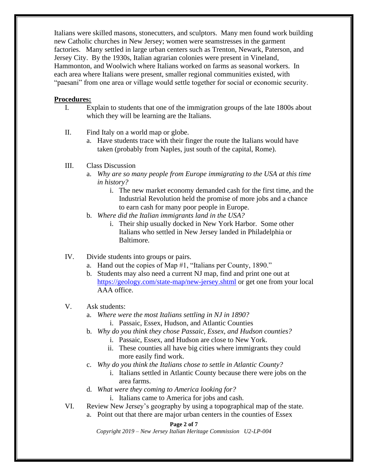Italians were skilled masons, stonecutters, and sculptors. Many men found work building new Catholic churches in New Jersey; women were seamstresses in the garment factories. Many settled in large urban centers such as Trenton, Newark, Paterson, and Jersey City. By the 1930s, Italian agrarian colonies were present in Vineland, Hammonton, and Woolwich where Italians worked on farms as seasonal workers. In each area where Italians were present, smaller regional communities existed, with "paesani" from one area or village would settle together for social or economic security.

#### **Procedures:**

- I. Explain to students that one of the immigration groups of the late 1800s about which they will be learning are the Italians.
- II. Find Italy on a world map or globe.
	- a. Have students trace with their finger the route the Italians would have taken (probably from Naples, just south of the capital, Rome).
- III. Class Discussion
	- a. *Why are so many people from Europe immigrating to the USA at this time in history?*
		- i. The new market economy demanded cash for the first time, and the Industrial Revolution held the promise of more jobs and a chance to earn cash for many poor people in Europe.
	- b. *Where did the Italian immigrants land in the USA?*
		- i. Their ship usually docked in New York Harbor. Some other Italians who settled in New Jersey landed in Philadelphia or Baltimore.
- IV. Divide students into groups or pairs.
	- a. Hand out the copies of Map #1, "Italians per County, 1890."
	- b. Students may also need a current NJ map, find and print one out at <https://geology.com/state-map/new-jersey.shtml> or get one from your local AAA office.

#### V. Ask students:

- a. *Where were the most Italians settling in NJ in 1890?*
	- i. Passaic, Essex, Hudson, and Atlantic Counties
- b. *Why do you think they chose Passaic, Essex, and Hudson counties?*
	- i. Passaic, Essex, and Hudson are close to New York.
	- ii. These counties all have big cities where immigrants they could more easily find work.
- c. *Why do you think the Italians chose to settle in Atlantic County?*
	- i. Italians settled in Atlantic County because there were jobs on the area farms.
- d. *What were they coming to America looking for?* 
	- i. Italians came to America for jobs and cash.
- VI. Review New Jersey's geography by using a topographical map of the state.
	- a. Point out that there are major urban centers in the counties of Essex

**Page 2 of 7** *Copyright 2019 – New Jersey Italian Heritage Commission U2-LP-004*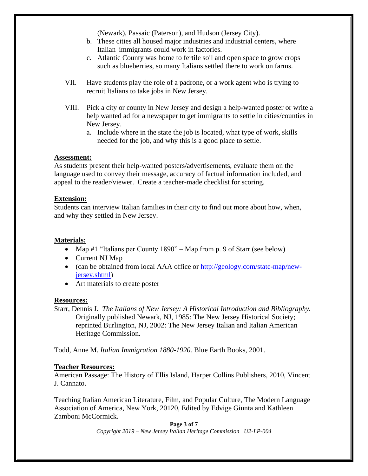(Newark), Passaic (Paterson), and Hudson (Jersey City).

- b. These cities all housed major industries and industrial centers, where Italian immigrants could work in factories.
- c. Atlantic County was home to fertile soil and open space to grow crops such as blueberries, so many Italians settled there to work on farms.
- VII. Have students play the role of a padrone, or a work agent who is trying to recruit Italians to take jobs in New Jersey.
- VIII. Pick a city or county in New Jersey and design a help-wanted poster or write a help wanted ad for a newspaper to get immigrants to settle in cities/counties in New Jersey.
	- a. Include where in the state the job is located, what type of work, skills needed for the job, and why this is a good place to settle.

#### **Assessment:**

As students present their help-wanted posters/advertisements, evaluate them on the language used to convey their message, accuracy of factual information included, and appeal to the reader/viewer. Create a teacher-made checklist for scoring.

#### **Extension:**

Students can interview Italian families in their city to find out more about how, when, and why they settled in New Jersey.

#### **Materials:**

- Map #1 "Italians per County  $1890"$  Map from p. 9 of Starr (see below)
- Current NJ Map
- (can be obtained from local AAA office or http://geology.com/state-map/newjersey.shtml)
- Art materials to create poster

#### **Resources:**

Starr, Dennis J. *The Italians of New Jersey: A Historical Introduction and Bibliography.*  Originally published Newark, NJ, 1985: The New Jersey Historical Society; reprinted Burlington, NJ, 2002: The New Jersey Italian and Italian American Heritage Commission.

Todd, Anne M. *Italian Immigration 1880-1920.* Blue Earth Books, 2001.

#### **Teacher Resources:**

American Passage: The History of Ellis Island, Harper Collins Publishers, 2010, Vincent J. Cannato.

Teaching Italian American Literature, Film, and Popular Culture, The Modern Language Association of America, New York, 20120, Edited by Edvige Giunta and Kathleen Zamboni McCormick.

> **Page 3 of 7** *Copyright 2019 – New Jersey Italian Heritage Commission U2-LP-004*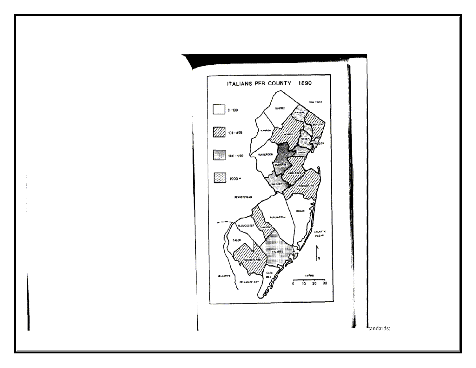

tandards: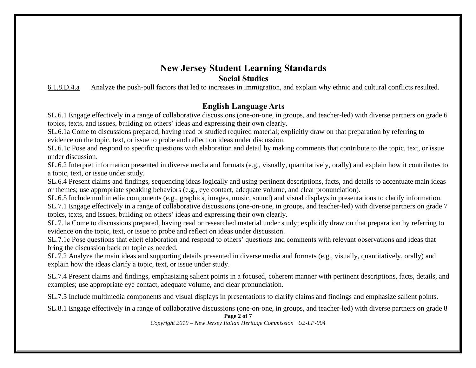# **New Jersey Student Learning Standards Social Studies**

6.1.8.D.4.a Analyze the push-pull factors that led to increases in immigration, and explain why ethnic and cultural conflicts resulted.

# **English Language Arts**

SL.6.1 Engage effectively in a range of collaborative discussions (one-on-one, in groups, and teacher-led) with diverse partners on grade 6 topics, texts, and issues, building on others' ideas and expressing their own clearly.

SL.6.1a Come to discussions prepared, having read or studied required material; explicitly draw on that preparation by referring to evidence on the topic, text, or issue to probe and reflect on ideas under discussion.

SL.6.1c Pose and respond to specific questions with elaboration and detail by making comments that contribute to the topic, text, or issue under discussion.

SL.6.2 Interpret information presented in diverse media and formats (e.g., visually, quantitatively, orally) and explain how it contributes to a topic, text, or issue under study.

SL.6.4 Present claims and findings, sequencing ideas logically and using pertinent descriptions, facts, and details to accentuate main ideas or themes; use appropriate speaking behaviors (e.g., eye contact, adequate volume, and clear pronunciation).

SL.6.5 Include multimedia components (e.g., graphics, images, music, sound) and visual displays in presentations to clarify information.

SL.7.1 Engage effectively in a range of collaborative discussions (one-on-one, in groups, and teacher-led) with diverse partners on grade 7 topics, texts, and issues, building on others' ideas and expressing their own clearly.

SL.7.1a Come to discussions prepared, having read or researched material under study; explicitly draw on that preparation by referring to evidence on the topic, text, or issue to probe and reflect on ideas under discussion.

SL.7.1c Pose questions that elicit elaboration and respond to others' questions and comments with relevant observations and ideas that bring the discussion back on topic as needed.

SL.7.2 Analyze the main ideas and supporting details presented in diverse media and formats (e.g., visually, quantitatively, orally) and explain how the ideas clarify a topic, text, or issue under study.

SL.7.4 Present claims and findings, emphasizing salient points in a focused, coherent manner with pertinent descriptions, facts, details, and examples; use appropriate eye contact, adequate volume, and clear pronunciation.

SL.7.5 Include multimedia components and visual displays in presentations to clarify claims and findings and emphasize salient points.

SL.8.1 Engage effectively in a range of collaborative discussions (one-on-one, in groups, and teacher-led) with diverse partners on grade 8

**Page 2 of 7**

*Copyright 2019 – New Jersey Italian Heritage Commission U2-LP-004*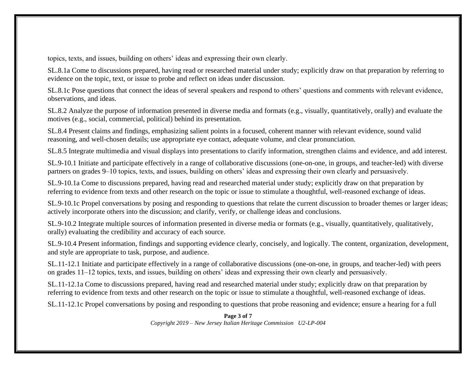topics, texts, and issues, building on others' ideas and expressing their own clearly.

SL.8.1a Come to discussions prepared, having read or researched material under study; explicitly draw on that preparation by referring to evidence on the topic, text, or issue to probe and reflect on ideas under discussion.

SL.8.1c Pose questions that connect the ideas of several speakers and respond to others' questions and comments with relevant evidence, observations, and ideas.

SL.8.2 Analyze the purpose of information presented in diverse media and formats (e.g., visually, quantitatively, orally) and evaluate the motives (e.g., social, commercial, political) behind its presentation.

SL.8.4 Present claims and findings, emphasizing salient points in a focused, coherent manner with relevant evidence, sound valid reasoning, and well-chosen details; use appropriate eye contact, adequate volume, and clear pronunciation.

SL.8.5 Integrate multimedia and visual displays into presentations to clarify information, strengthen claims and evidence, and add interest.

SL.9-10.1 Initiate and participate effectively in a range of collaborative discussions (one-on-one, in groups, and teacher-led) with diverse partners on grades 9–10 topics, texts, and issues, building on others' ideas and expressing their own clearly and persuasively.

SL.9-10.1a Come to discussions prepared, having read and researched material under study; explicitly draw on that preparation by referring to evidence from texts and other research on the topic or issue to stimulate a thoughtful, well-reasoned exchange of ideas.

SL.9-10.1c Propel conversations by posing and responding to questions that relate the current discussion to broader themes or larger ideas; actively incorporate others into the discussion; and clarify, verify, or challenge ideas and conclusions.

SL.9-10.2 Integrate multiple sources of information presented in diverse media or formats (e.g., visually, quantitatively, qualitatively, orally) evaluating the credibility and accuracy of each source.

SL.9-10.4 Present information, findings and supporting evidence clearly, concisely, and logically. The content, organization, development, and style are appropriate to task, purpose, and audience.

SL.11-12.1 Initiate and participate effectively in a range of collaborative discussions (one-on-one, in groups, and teacher-led) with peers on grades 11–12 topics, texts, and issues, building on others' ideas and expressing their own clearly and persuasively.

SL.11-12.1a Come to discussions prepared, having read and researched material under study; explicitly draw on that preparation by referring to evidence from texts and other research on the topic or issue to stimulate a thoughtful, well-reasoned exchange of ideas.

SL.11-12.1c Propel conversations by posing and responding to questions that probe reasoning and evidence; ensure a hearing for a full

**Page 3 of 7** *Copyright 2019 – New Jersey Italian Heritage Commission U2-LP-004*